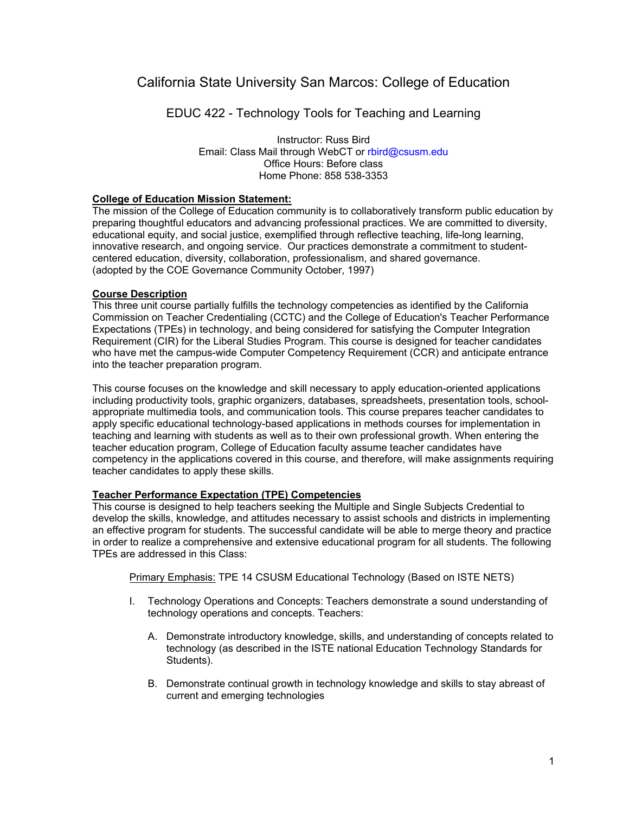# California State University San Marcos: College of Education

EDUC 422 - Technology Tools for Teaching and Learning

Instructor: Russ Bird Email: Class Mail through WebCT or rbird@csusm.edu Office Hours: Before class Home Phone: 858 538-3353

## **College of Education Mission Statement:**

The mission of the College of Education community is to collaboratively transform public education by preparing thoughtful educators and advancing professional practices. We are committed to diversity, educational equity, and social justice, exemplified through reflective teaching, life-long learning, innovative research, and ongoing service. Our practices demonstrate a commitment to studentcentered education, diversity, collaboration, professionalism, and shared governance. (adopted by the COE Governance Community October, 1997)

## **Course Description**

This three unit course partially fulfills the technology competencies as identified by the California Commission on Teacher Credentialing (CCTC) and the College of Education's Teacher Performance Expectations (TPEs) in technology, and being considered for satisfying the Computer Integration Requirement (CIR) for the Liberal Studies Program. This course is designed for teacher candidates who have met the campus-wide Computer Competency Requirement (CCR) and anticipate entrance into the teacher preparation program.

This course focuses on the knowledge and skill necessary to apply education-oriented applications including productivity tools, graphic organizers, databases, spreadsheets, presentation tools, schoolappropriate multimedia tools, and communication tools. This course prepares teacher candidates to apply specific educational technology-based applications in methods courses for implementation in teaching and learning with students as well as to their own professional growth. When entering the teacher education program, College of Education faculty assume teacher candidates have competency in the applications covered in this course, and therefore, will make assignments requiring teacher candidates to apply these skills.

# **Teacher Performance Expectation (TPE) Competencies**

This course is designed to help teachers seeking the Multiple and Single Subjects Credential to develop the skills, knowledge, and attitudes necessary to assist schools and districts in implementing an effective program for students. The successful candidate will be able to merge theory and practice in order to realize a comprehensive and extensive educational program for all students. The following TPEs are addressed in this Class:

Primary Emphasis: TPE 14 CSUSM Educational Technology (Based on ISTE NETS)

- I. Technology Operations and Concepts: Teachers demonstrate a sound understanding of technology operations and concepts. Teachers:
	- A. Demonstrate introductory knowledge, skills, and understanding of concepts related to technology (as described in the ISTE national Education Technology Standards for Students).
	- B. Demonstrate continual growth in technology knowledge and skills to stay abreast of current and emerging technologies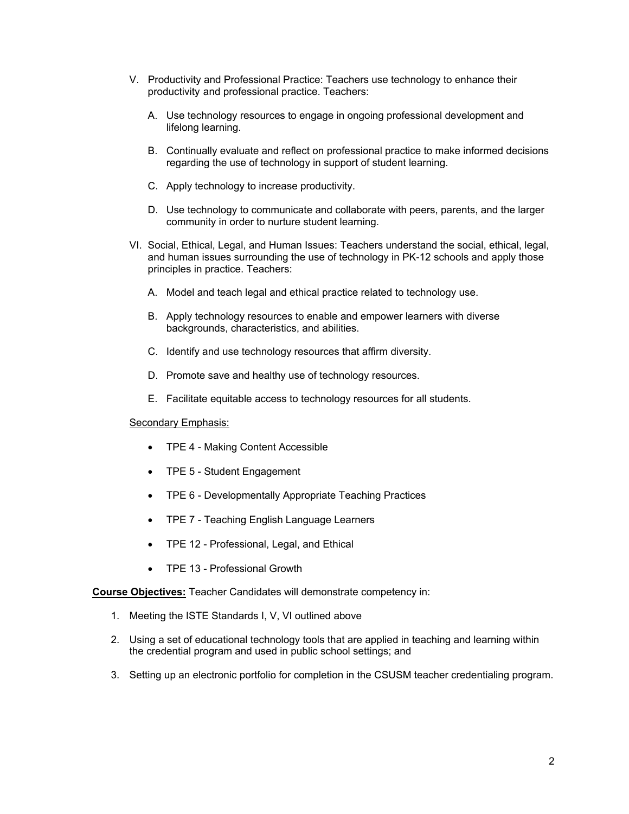- V. Productivity and Professional Practice: Teachers use technology to enhance their productivity and professional practice. Teachers:
	- A. Use technology resources to engage in ongoing professional development and lifelong learning.
	- B. Continually evaluate and reflect on professional practice to make informed decisions regarding the use of technology in support of student learning.
	- C. Apply technology to increase productivity.
	- D. Use technology to communicate and collaborate with peers, parents, and the larger community in order to nurture student learning.
- VI. Social, Ethical, Legal, and Human Issues: Teachers understand the social, ethical, legal, and human issues surrounding the use of technology in PK-12 schools and apply those principles in practice. Teachers:
	- A. Model and teach legal and ethical practice related to technology use.
	- B. Apply technology resources to enable and empower learners with diverse backgrounds, characteristics, and abilities.
	- C. Identify and use technology resources that affirm diversity.
	- D. Promote save and healthy use of technology resources.
	- E. Facilitate equitable access to technology resources for all students.

#### Secondary Emphasis:

- TPE 4 Making Content Accessible
- TPE 5 Student Engagement
- TPE 6 Developmentally Appropriate Teaching Practices
- TPE 7 Teaching English Language Learners
- TPE 12 Professional, Legal, and Ethical
- TPF 13 Professional Growth

**Course Objectives:** Teacher Candidates will demonstrate competency in:

- 1. Meeting the ISTE Standards I, V, VI outlined above
- 2. Using a set of educational technology tools that are applied in teaching and learning within the credential program and used in public school settings; and
- 3. Setting up an electronic portfolio for completion in the CSUSM teacher credentialing program.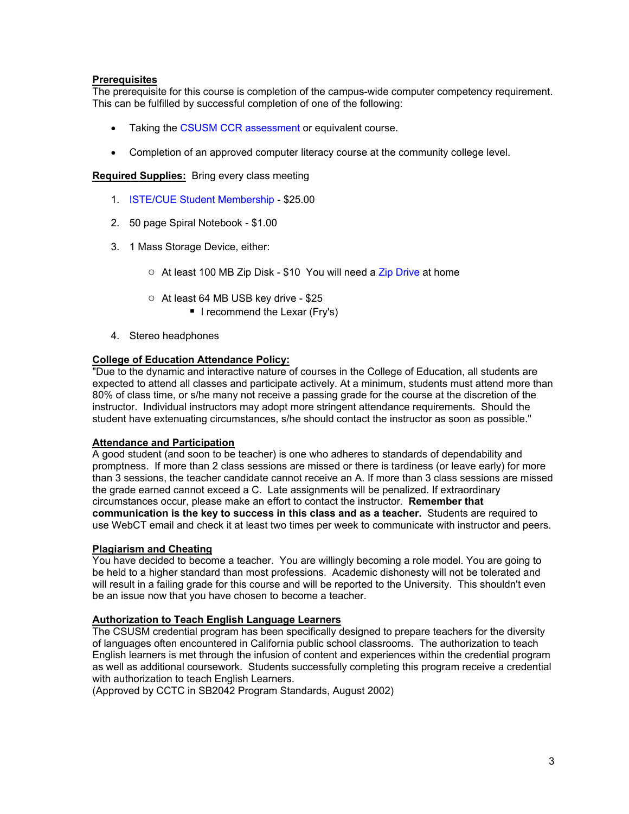# **Prerequisites**

The prerequisite for this course is completion of the campus-wide computer competency requirement. This can be fulfilled by successful completion of one of the following:

- Taking the CSUSM CCR assessment or equivalent course.
- Completion of an approved computer literacy course at the community college level.

**Required Supplies:** Bring every class meeting

- 1. ISTE/CUE Student Membership \$25.00
- 2. 50 page Spiral Notebook \$1.00
- 3. 1 Mass Storage Device, either:
	- At least 100 MB Zip Disk \$10 You will need a Zip Drive at home
	- At least 64 MB USB key drive \$25
		- I recommend the Lexar (Fry's)
- 4. Stereo headphones

## **College of Education Attendance Policy:**

"Due to the dynamic and interactive nature of courses in the College of Education, all students are expected to attend all classes and participate actively. At a minimum, students must attend more than 80% of class time, or s/he many not receive a passing grade for the course at the discretion of the instructor. Individual instructors may adopt more stringent attendance requirements. Should the student have extenuating circumstances, s/he should contact the instructor as soon as possible."

## **Attendance and Participation**

A good student (and soon to be teacher) is one who adheres to standards of dependability and promptness. If more than 2 class sessions are missed or there is tardiness (or leave early) for more than 3 sessions, the teacher candidate cannot receive an A. If more than 3 class sessions are missed the grade earned cannot exceed a C. Late assignments will be penalized. If extraordinary circumstances occur, please make an effort to contact the instructor. **Remember that communication is the key to success in this class and as a teacher.** Students are required to use WebCT email and check it at least two times per week to communicate with instructor and peers.

#### **Plagiarism and Cheating**

You have decided to become a teacher. You are willingly becoming a role model. You are going to be held to a higher standard than most professions. Academic dishonesty will not be tolerated and will result in a failing grade for this course and will be reported to the University. This shouldn't even be an issue now that you have chosen to become a teacher.

#### **Authorization to Teach English Language Learners**

The CSUSM credential program has been specifically designed to prepare teachers for the diversity of languages often encountered in California public school classrooms. The authorization to teach English learners is met through the infusion of content and experiences within the credential program as well as additional coursework. Students successfully completing this program receive a credential with authorization to teach English Learners.

(Approved by CCTC in SB2042 Program Standards, August 2002)